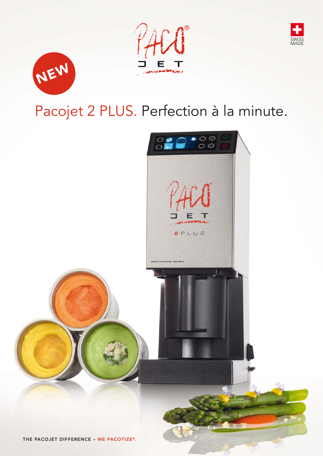





# Pacojet 2 PLUS. Perfection à la minute.

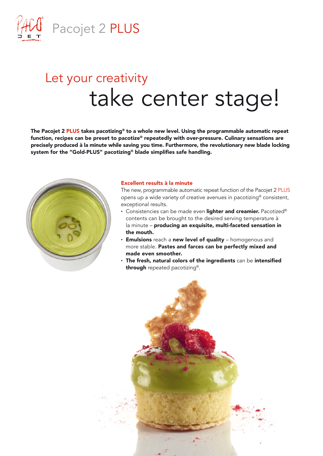

# Let your creativity take center stage!

The Pacojet 2 PLUS takes pacotizing® to a whole new level. Using the programmable automatic repeat function, recipes can be preset to pacotize® repeatedly with over-pressure. Culinary sensations are precisely produced à la minute while saving you time. Furthermore, the revolutionary new blade locking system for the "Gold-PLUS" pacotizing® blade simplifies safe handling.



#### Excellent results à la minute

The new, programmable automatic repeat function of the Pacojet 2 PLUS opens up a wide variety of creative avenues in pacotizing® consistent, exceptional results.

- Consistencies can be made even lighter and creamier. Pacotized® contents can be brought to the desired serving temperature à la minute – producing an exquisite, multi-faceted sensation in the mouth.
- Emulsions reach a new level of quality homogenous and more stable. Pastes and farces can be perfectly mixed and made even smoother.
- $\cdot$  The fresh, natural colors of the ingredients can be intensified through repeated pacotizing®.

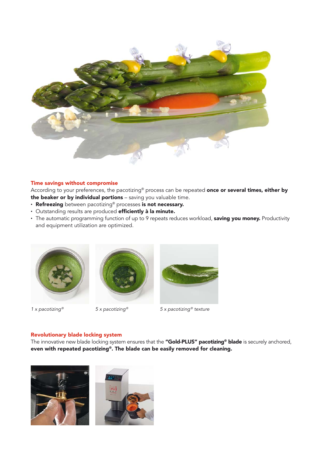

### Time savings without compromise

According to your preferences, the pacotizing® process can be repeated once or several times, either by the beaker or by individual portions - saving you valuable time.

- Refreezing between pacotizing® processes is not necessary.
- Outstanding results are produced efficiently à la minute.
- The automatic programming function of up to 9 repeats reduces workload, saving you money. Productivity and equipment utilization are optimized.







*1 x pacotizing® 5 x pacotizing® 5 x pacotizing® texture*

### Revolutionary blade locking system

The innovative new blade locking system ensures that the "Gold-PLUS" pacotizing<sup>®</sup> blade is securely anchored, even with repeated pacotizing®. The blade can be easily removed for cleaning.